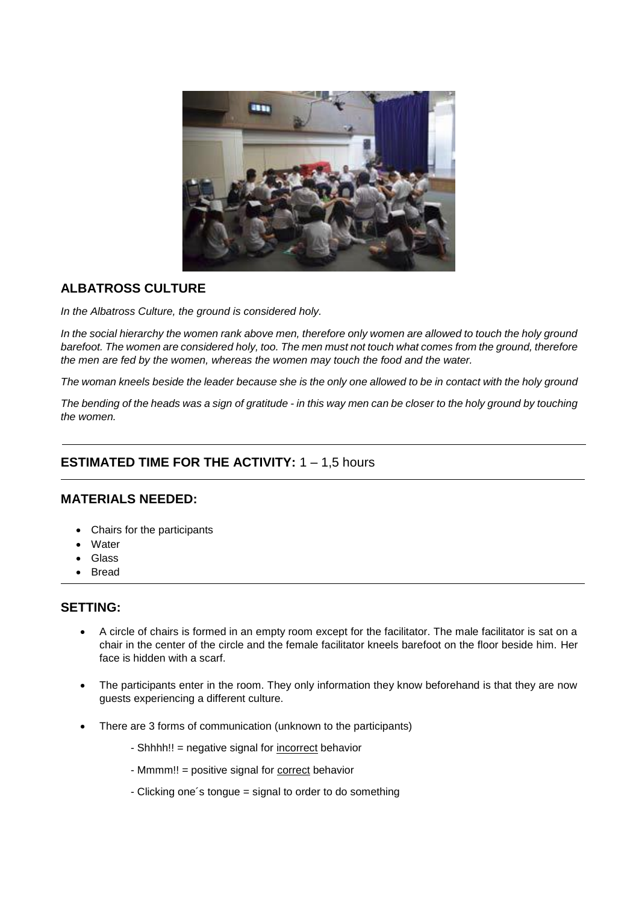

## **ALBATROSS CULTURE**

*In the Albatross Culture, the ground is considered holy.*

*In the social hierarchy the women rank above men, therefore only women are allowed to touch the holy ground barefoot. The women are considered holy, too. The men must not touch what comes from the ground, therefore the men are fed by the women, whereas the women may touch the food and the water.*

*The woman kneels beside the leader because she is the only one allowed to be in contact with the holy ground*

*The bending of the heads was a sign of gratitude - in this way men can be closer to the holy ground by touching the women.*

## **ESTIMATED TIME FOR THE ACTIVITY:** 1 – 1,5 hours

#### **MATERIALS NEEDED:**

- Chairs for the participants
- **Water**
- Glass
- **Bread**

### **SETTING:**

- A circle of chairs is formed in an empty room except for the facilitator. The male facilitator is sat on a chair in the center of the circle and the female facilitator kneels barefoot on the floor beside him. Her face is hidden with a scarf.
- The participants enter in the room. They only information they know beforehand is that they are now guests experiencing a different culture.
- There are 3 forms of communication (unknown to the participants)
	- Shhhh!! = negative signal for incorrect behavior
	- Mmmm!! = positive signal for correct behavior
	- Clicking one´s tongue = signal to order to do something